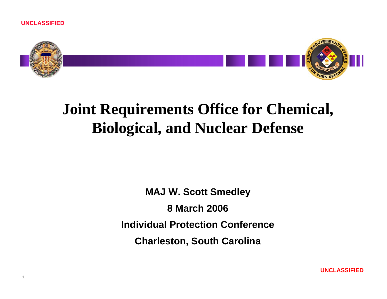

# **Joint Requirements Office for Chemical, Biological, and Nuclear Defense**

**MAJ W. Scott Smedley 8 March 2006Individual Protection Conference**

**Charleston, South Carolina**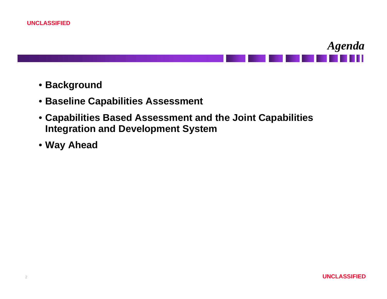



- **Background**
- **Baseline Capabilities Assessment**
- **Capabilities Based Assessment and the Joint Capabilities Integration and Development System**
- **Way Ahead**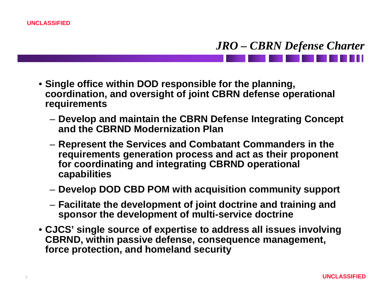#### *JRO – CBRN Defense Charter*

- **Single office within DOD responsible for the planning, coordination, and oversight of joint CBRN defense operational requirements** 
	- **Develop and maintain the CBRN Defense Integrating Concept and the CBRND Modernization Plan**
	- **Represent the Services and Combatant Commanders in the requirements generation process and act as their proponent for coordinating and integrating CBRND operational capabilities**
	- **Develop DOD CBD POM with acquisition community support**
	- **Facilitate the development of joint doctrine and training and sponsor the development of multi-service doctrine**
- **CJCS' single source of expertise to address all issues involving CBRND, within passive defense, consequence management, force protection, and homeland security**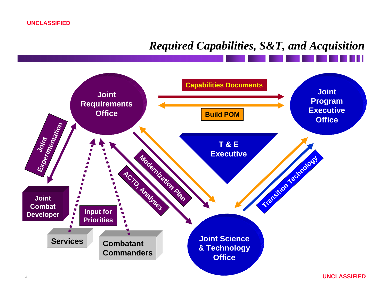**UNCLASSIFIED**

#### *Required Capabilities, S&T, and Acquisition*

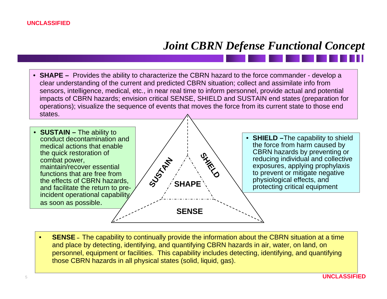## *Joint CBRN Defense Functional Concept*

• **SHAPE –** Provides the ability to characterize the CBRN hazard to the force commander - develop a clear understanding of the current and predicted CBRN situation; collect and assimilate info from sensors, intelligence, medical, etc., in near real time to inform personnel, provide actual and potential impacts of CBRN hazards; envision critical SENSE, SHIELD and SUSTAIN end states (preparation for operations); visualize the sequence of events that moves the force from its current state to those end states.



• **SENSE –** The capability to continually provide the information about the CBRN situation at a time and place by detecting, identifying, and quantifying CBRN hazards in air, water, on land, on personnel, equipment or facilities. This capability includes detecting, identifying, and quantifying those CBRN hazards in all physical states (solid, liquid, gas).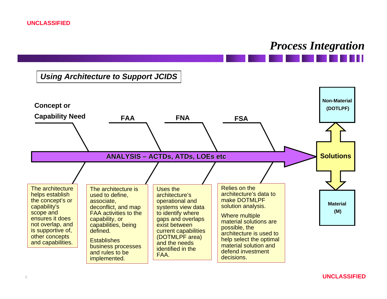#### *Process Integration*

#### *Using Architecture to Support JCIDS*

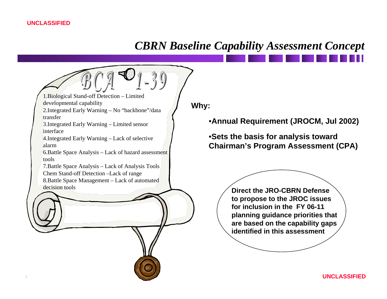#### *CBRN Baseline Capability Assessment Concept*

1.Biological Stand-off Detection – Limited developmental capability 2.Integrated Early Warning – No "backbone"/data transfer3.Integrated Early Warning – Limited sensor interface4.Integrated Early Warning – Lack of selective alarm6.Battle Space Analysis – Lack of hazard assessment tools

7.Battle Space Analysis – Lack of Analysis Tools Chem Stand-off Detection –Lack of range 8.Battle Space Management – Lack of automated decision tools

**Why:**

•**Annual Requirement (JROCM, Jul 2002)**

•**Sets the basis for analysis toward Chairman's Program Assessment (CPA)**

> **Direct the JRO-CBRN Defense to propose to the JROC issues for inclusion in the FY 06-11 planning guidance priorities that are based on the capability gaps identified in this assessment**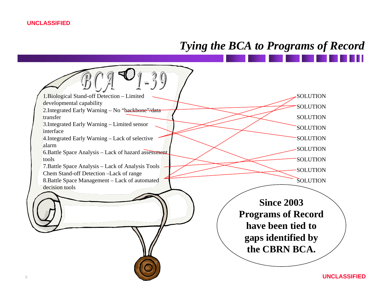## *Tying the BCA to Programs of Record*

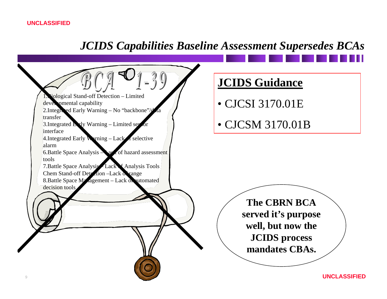## *JCIDS Capabilities Baseline Assessment Supersedes BCAs*

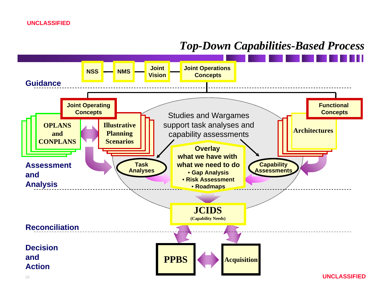#### *Top-Down Capabilities-Based Process*

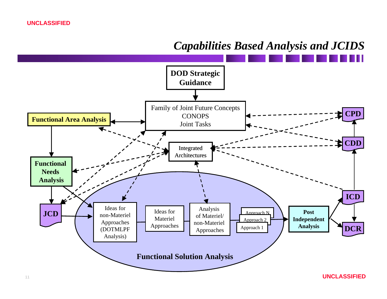

#### *Capabilities Based Analysis and JCIDS*

**UNCLASSIFIED**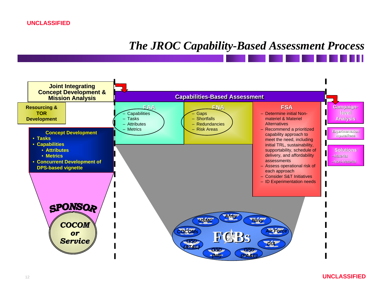#### *The JROC Capability-Based Assessment Process*

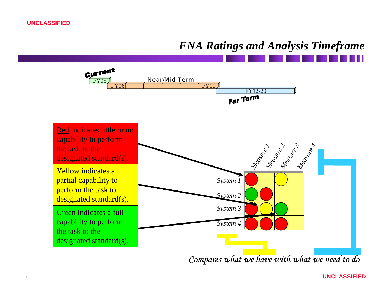## *FNA Ratings and Analysis Timeframe*

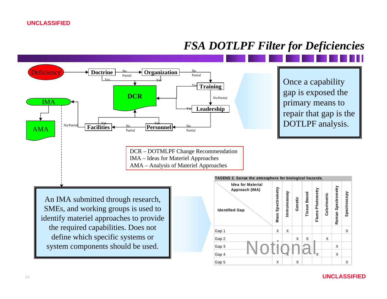#### *FSA DOTLPF Filter for Deficiencies*

Gap 3 X X Gap 4 X X X Gap 5 X X X X X X X X X



#### **UNCLASSIFIED**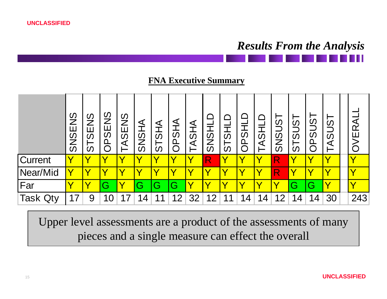**UNCLASSIFIED**

## *Results From the Analysis*

#### **FNA Executive Summary**



Upper level assessments are a product of the assessments of many pieces and a single measure can effect the overall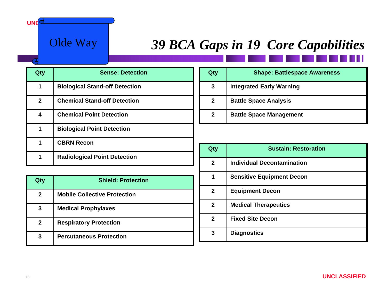#### Olde Way

 $UNC$ 

# **39 BCA Gaps in 19 Core Capabilities**

| Qty          | <b>Sense: Detection</b>               |
|--------------|---------------------------------------|
| 1            | <b>Biological Stand-off Detection</b> |
| $\mathbf{2}$ | <b>Chemical Stand-off Detection</b>   |
| 4            | <b>Chemical Point Detection</b>       |
| 1            | <b>Biological Point Detection</b>     |
| 1            | <b>CBRN Recon</b>                     |
|              | <b>Radiological Point Detection</b>   |

| Qty          | <b>Shield: Protection</b>           |
|--------------|-------------------------------------|
| $\mathbf{2}$ | <b>Mobile Collective Protection</b> |
| 3            | <b>Medical Prophylaxes</b>          |
| $\mathbf{2}$ | <b>Respiratory Protection</b>       |
| 3            | <b>Percutaneous Protection</b>      |

| Qty          | <b>Shape: Battlespace Awareness</b> |
|--------------|-------------------------------------|
| 3            | <b>Integrated Early Warning</b>     |
| $\mathbf{2}$ | <b>Battle Space Analysis</b>        |
| $\mathbf{2}$ | <b>Battle Space Management</b>      |

| Qty          | <b>Sustain: Restoration</b>       |
|--------------|-----------------------------------|
| $\mathbf{2}$ | <b>Individual Decontamination</b> |
| 1            | <b>Sensitive Equipment Decon</b>  |
| $\mathbf{2}$ | <b>Equipment Decon</b>            |
| $\mathbf{2}$ | <b>Medical Therapeutics</b>       |
| $\mathbf{2}$ | <b>Fixed Site Decon</b>           |
| 3            | <b>Diagnostics</b>                |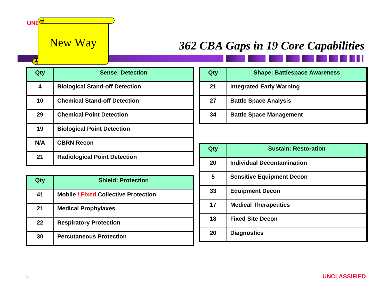**UNC** 

<u>ົ</u>

# New Way *362 CBA Gaps in 19 Core Capabilities*

| Qty | <b>Sense: Detection</b>               |
|-----|---------------------------------------|
| 4   | <b>Biological Stand-off Detection</b> |
| 10  | <b>Chemical Stand-off Detection</b>   |
| 29  | <b>Chemical Point Detection</b>       |
| 19  | <b>Biological Point Detection</b>     |
| N/A | <b>CBRN Recon</b>                     |
| 21  | <b>Radiological Point Detection</b>   |

| Qty | <b>Shield: Protection</b>                   |
|-----|---------------------------------------------|
| 41  | <b>Mobile / Fixed Collective Protection</b> |
| 21  | <b>Medical Prophylaxes</b>                  |
| 22  | <b>Respiratory Protection</b>               |
| 30  | <b>Percutaneous Protection</b>              |

| Qty | <b>Shape: Battlespace Awareness</b> |
|-----|-------------------------------------|
| 21  | <b>Integrated Early Warning</b>     |
| 27  | <b>Battle Space Analysis</b>        |
| 34  | <b>Battle Space Management</b>      |

| Qty | <b>Sustain: Restoration</b>       |
|-----|-----------------------------------|
| 20  | <b>Individual Decontamination</b> |
| 5   | <b>Sensitive Equipment Decon</b>  |
| 33  | <b>Equipment Decon</b>            |
| 17  | <b>Medical Therapeutics</b>       |
| 18  | <b>Fixed Site Decon</b>           |
| 20  | <b>Diagnostics</b>                |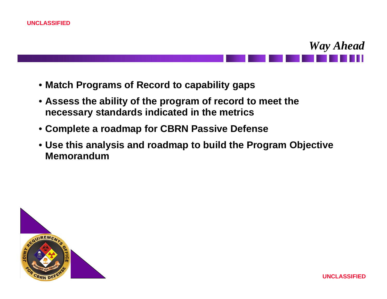



- **Match Programs of Record to capability gaps**
- **Assess the ability of the program of record to meet the necessary standards indicated in the metrics**
- **Complete a roadmap for CBRN Passive Defense**
- **Use this analysis and roadmap to build the Program Objective Memorandum**